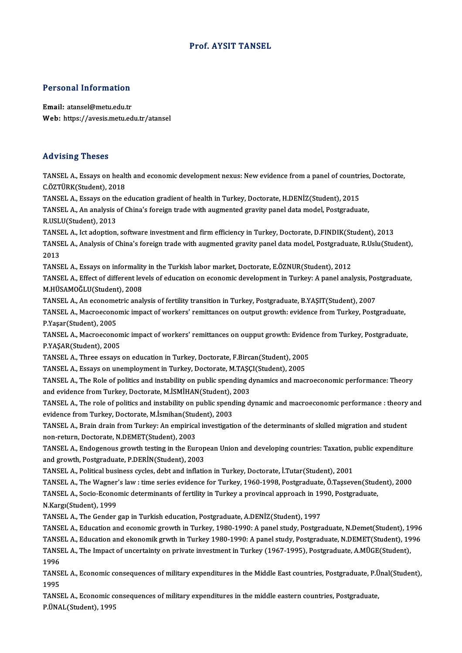### Prof. AYSIT TANSEL

# Personal Information

Personal Information<br>Email: atansel@metu.edu.tr<br>Web: https://avesis.metu.ed Email: atansel@metu.edu.tr<br>Web: https://avesis.metu.edu.tr/atansel

### Advising Theses

Advising Theses<br>TANSEL A., Essays on health and economic development nexus: New evidence from a panel of countries, Doctorate,<br>C.ÖZTÜRK(Student), 2019 TANSEL A., Essays on healt<br>C.ÖZTÜRK(Student), 2018<br>TANSEL A., Essays on the a TANSEL A., Essays on health and economic development nexus: New evidence from a panel of countri<br>C.ÖZTÜRK(Student), 2018<br>TANSEL A., Essays on the education gradient of health in Turkey, Doctorate, H.DENİZ(Student), 2015<br>TA

C.ÖZTÜRK(Student), 2018<br>TANSEL A., Essays on the education gradient of health in Turkey, Doctorate, H.DENİZ(Student), 2015<br>TANSEL A., An analysis of China's foreign trade with augmented gravity panel data model, Postgradua

TANSEL A., Essays on th<br>TANSEL A., An analysis<br>R.USLU(Student), 2013<br>TANSEL A. Ist adontion TANSEL A., An analysis of China's foreign trade with augmented gravity panel data model, Postgraduate,<br>R.USLU(Student), 2013<br>TANSEL A., Ict adoption, software investment and firm efficiency in Turkey, Doctorate, D.FINDIK(S

R.USLU(Student), 2013<br>TANSEL A., Ict adoption, software investment and firm efficiency in Turkey, Doctorate, D.FINDIK(Student), 2013<br>TANSEL A., Analysis of China's foreign trade with augmented gravity panel data model, Pos TANSI<br>TANSI<br>2013<br>TANSI TANSEL A., Analysis of China's foreign trade with augmented gravity panel data model, Postgraduat<br>2013<br>TANSEL A., Essays on informality in the Turkish labor market, Doctorate, E.ÖZNUR(Student), 2012<br>TANSEL A., Effect of di

2013<br>TANSEL A., Essays on informality in the Turkish labor market, Doctorate, E.ÖZNUR(Student), 2012<br>TANSEL A., Effect of different levels of education on economic development in Turkey: A panel analysis, Postgraduate,<br>M.H TANSEL A., Essays on informality<br>TANSEL A., Effect of different lev<br>M.HÜSAMOĞLU(Student), 2008<br>TANSEL A. An essanomatris anal TANSEL A., Effect of different levels of education on economic development in Turkey: A panel analysis, Po:<br>M.HÜSAMOĞLU(Student), 2008<br>TANSEL A., An econometric analysis of fertility transition in Turkey, Postgraduate, B.Y

M.HÜSAMOĞLU(Student), 2008<br>TANSEL A., An econometric analysis of fertility transition in Turkey, Postgraduate, B.YAŞIT(Student), 2007<br>TANSEL A., Macroeconomic impact of workers' remittances on output growth: evidence from TANSEL A., An econometric analysis of fertility transition in Turkey, Postgraduate, B.YAŞIT(Student), 2007 TANSEL A., Macroeconomic impact of workers' remittances on output growth: evidence from Turkey, Postgraduate,<br>P.Yaşar(Student), 2005<br>TANSEL A., Macroeconomic impact of workers' remittances on oupput growth: Evidence from T

P.Yaşar(Student), 2005<br>TANSEL A., Macroeconon<br>P.YAŞAR(Student), 2005<br>TANSEL A. Three essays TANSEL A., Macroeconomic impact of workers' remittances on oupput growth: Evider<br>P.YAŞAR(Student), 2005<br>TANSEL A., Three essays on education in Turkey, Doctorate, F.Bircan(Student), 2005<br>TANSEL A., Essays on unamplayment i P.YAŞAR(Student), 2005<br>TANSEL A., Three essays on education in Turkey, Doctorate, F.Bircan(Student), 2005<br>TANSEL A., Essays on unemployment in Turkey, Doctorate, M.TAŞÇI(Student), 2005<br>TANSEL A., The Pele of politics and i

TANSEL A., Three essays on education in Turkey, Doctorate, F.Bircan(Student), 2005<br>TANSEL A., Essays on unemployment in Turkey, Doctorate, M.TAŞÇI(Student), 2005<br>TANSEL A., The Role of politics and instability on public sp TANSEL A., Essays on unemployment in Turkey, Doctorate, M.TAŞÇ<br>TANSEL A., The Role of politics and instability on public spending d<br>and evidence from Turkey, Doctorate, M.İSMİHAN(Student), 2003<br>TANSEL A., The role of polit TANSEL A., The Role of politics and instability on public spending dynamics and macroeconomic performance: Theory<br>and evidence from Turkey, Doctorate, M.İSMİHAN(Student), 2003<br>TANSEL A., The role of politics and instabilit

and evidence from Turkey, Doctorate, M.İSMİHAN(Student), 2<br>TANSEL A., The role of politics and instability on public spend<br>evidence from Turkey, Doctorate, M.İsmihan(Student), 2003<br>TANSEL A., Prain drain from Turkey, An am TANSEL A., The role of politics and instability on public spending dynamic and macroeconomic performance : theory<br>evidence from Turkey, Doctorate, M.İsmihan(Student), 2003<br>TANSEL A., Brain drain from Turkey: An empirical i

evidence from Turkey, Doctorate, M.İsmihan(Student), 2003<br>TANSEL A., Brain drain from Turkey: An empirical investigation of the determinants of skilled migration and student<br>non-return, Doctorate, N.DEMET(Student), 2003 TANSEL A., Brain drain from Turkey: An empirical investigation of the determinants of skilled migration and student<br>non-return, Doctorate, N.DEMET(Student), 2003<br>TANSEL A., Endogenous growth testing in the European Union a

non-return, Doctorate, N.DEMET(Student), 2003<br>TANSEL A., Endogenous growth testing in the Europ<br>and growth, Postgraduate, P.DERİN(Student), 2003<br>TANSEL A. Political business gyales, daht and inflatis TANSEL A., Endogenous growth testing in the European Union and developing countries: Taxation, J<br>and growth, Postgraduate, P.DERİN(Student), 2003<br>TANSEL A., Political business cycles, debt and inflation in Turkey, Doctorat

and growth, Postgraduate, P.DERİN(Student), 2003<br>TANSEL A., Political business cycles, debt and inflation in Turkey, Doctorate, İ.Tutar(Student), 2001<br>TANSEL A., The Wagner's law : time series evidence for Turkey, 1960-199 TANSEL A., Political business cycles, debt and inflation in Turkey, Doctorate, İ.Tutar(Student), 2001<br>TANSEL A., The Wagner's law : time series evidence for Turkey, 1960-1998, Postgraduate, Ö.Taşseven(Stud<br>TANSEL A., Socio TANSEL A., Socio-Economic determinants of fertility in Turkey a provincal approach in 1990, Postgraduate,<br>N.Kargı(Student), 1999

TANSEL A., The Gender gap in Turkish education, Postgraduate, A.DENİZ(Student), 1997

N.Kargı(Student), 1999<br>TANSEL A., The Gender gap in Turkish education, Postgraduate, A.DENİZ(Student), 1997<br>TANSEL A., Education and ekonomic growth in Turkey, 1980-1990: A panel study, Postgraduate, N.Demet(Student), 1996 TANSEL A., The Gender gap in Turkish education, Postgraduate, A.DENİZ(Student), 1997<br>TANSEL A., Education and economic growth in Turkey, 1980-1990: A panel study, Postgraduate, N.Demet(Student), 1996<br>TANSEL A., Education a TANSEL A., Education and economic growth in Turkey, 1980-1990: A panel study, Postgraduate, N.Demet(Student), 19<br>TANSEL A., Education and ekonomik grwth in Turkey 1980-1990: A panel study, Postgraduate, N.DEMET(Student), 1 TANSEL A., Education and ekonomik grwth in Turkey 1980-1990: A panel study, Postgraduate, N.DEMET(Student), 1996<br>TANSEL A., The Impact of uncertainty on private investment in Turkey (1967-1995), Postgraduate, A.MÜGE(Studen

TANSEL A., The Impact of uncertainty on private investment in Turkey (1967-1995), Postgraduate, A.MÜGE(Student),<br>1996<br>TANSEL A., Economic consequences of military expenditures in the Middle East countries, Postgraduate, P. 1996<br>TANSI<br>1995<br>Tangi TANSEL A., Economic consequences of military expenditures in the Middle East countries, Postgraduate, P.Ü<br>1995<br>TANSEL A., Economic consequences of military expenditures in the middle eastern countries, Postgraduate,<br>P.ÜNAL

1995<br>TANSEL A., Economic consequences of military expenditures in the middle eastern countries, Postgraduate,<br>P.ÜNAL(Student), 1995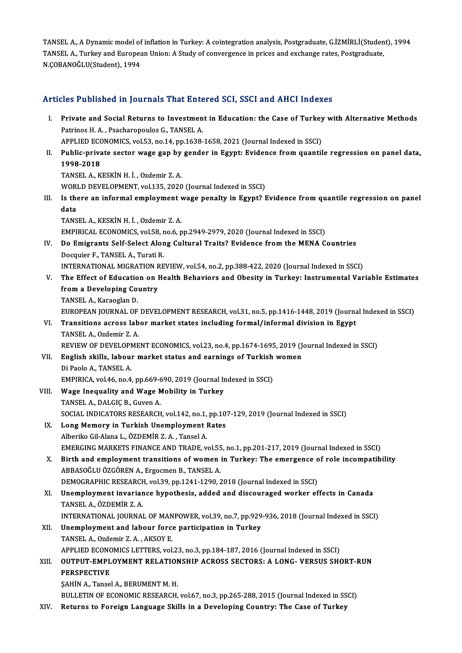TANSEL A., A Dynamic model of inflation in Turkey: A cointegration analysis, Postgraduate, G.İZMİRLİ(Student), 1994 TANSEL A., A Dynamic model of inflation in Turkey: A cointegration analysis, Postgraduate, G.İZMİRLİ(Studen<br>TANSEL A., Turkey and European Union: A Study of convergence in prices and exchange rates, Postgraduate,<br>N CORANOČ TANSEL A., A Dynamic model of<br>TANSEL A., Turkey and Europea<br>N.ÇOBANOĞLU(Student), 1994

# N.ÇOBANOGLO(Student), 1994<br>Articles Published in Journals That Entered SCI, SSCI and AHCI Indexes

| Articles Published in Journals That Entered SCI, SSCI and AHCI Indexes |                                                                                                                                                    |
|------------------------------------------------------------------------|----------------------------------------------------------------------------------------------------------------------------------------------------|
| Ι.                                                                     | Private and Social Returns to Investment in Education: the Case of Turkey with Alternative Methods<br>Patrinos H. A., Psacharopoulos G., TANSEL A. |
|                                                                        | APPLIED ECONOMICS, vol.53, no.14, pp.1638-1658, 2021 (Journal Indexed in SSCI)                                                                     |
| П.                                                                     | Public-private sector wage gap by gender in Egypt: Evidence from quantile regression on panel data,                                                |
|                                                                        | 1998-2018                                                                                                                                          |
|                                                                        | TANSEL A, KESKİN H. İ., Ozdemir Z. A.                                                                                                              |
|                                                                        | WORLD DEVELOPMENT, vol.135, 2020 (Journal Indexed in SSCI)                                                                                         |
| Ш.                                                                     | Is there an informal employment wage penalty in Egypt? Evidence from quantile regression on panel                                                  |
|                                                                        | data                                                                                                                                               |
|                                                                        | TANSEL A., KESKIN H. I., Ozdemir Z. A.                                                                                                             |
|                                                                        | EMPIRICAL ECONOMICS, vol.58, no.6, pp.2949-2979, 2020 (Journal Indexed in SSCI)                                                                    |
| IV.                                                                    | Do Emigrants Self-Select Along Cultural Traits? Evidence from the MENA Countries                                                                   |
|                                                                        | Docquier F., TANSEL A., Turati R.                                                                                                                  |
|                                                                        | INTERNATIONAL MIGRATION REVIEW, vol.54, no.2, pp.388-422, 2020 (Journal Indexed in SSCI)                                                           |
| V.                                                                     | The Effect of Education on Health Behaviors and Obesity in Turkey: Instrumental Variable Estimates                                                 |
|                                                                        | from a Developing Country                                                                                                                          |
|                                                                        | TANSEL A., Karaoglan D.                                                                                                                            |
|                                                                        | EUROPEAN JOURNAL OF DEVELOPMENT RESEARCH, vol.31, no.5, pp.1416-1448, 2019 (Journal Indexed in SSCI)                                               |
| VI.                                                                    | Transitions across labor market states including formal/informal division in Egypt                                                                 |
|                                                                        | TANSEL A., Ozdemir Z. A.                                                                                                                           |
|                                                                        | REVIEW OF DEVELOPMENT ECONOMICS, vol.23, no.4, pp.1674-1695, 2019 (Journal Indexed in SSCI)                                                        |
| VII.                                                                   | English skills, labour market status and earnings of Turkish women                                                                                 |
|                                                                        | Di Paolo A., TANSEL A.                                                                                                                             |
|                                                                        | EMPIRICA, vol.46, no.4, pp.669-690, 2019 (Journal Indexed in SSCI)                                                                                 |
| VIII.                                                                  | Wage Inequality and Wage Mobility in Turkey                                                                                                        |
|                                                                        | TANSEL A., DALGIÇ B., Guven A.                                                                                                                     |
|                                                                        | SOCIAL INDICATORS RESEARCH, vol.142, no.1, pp.107-129, 2019 (Journal Indexed in SSCI)                                                              |
| IX.                                                                    | Long Memory in Turkish Unemployment Rates                                                                                                          |
|                                                                        | Alberiko Gil-Alana L., ÖZDEMİR Z. A., Tansel A.<br>EMERGING MARKETS FINANCE AND TRADE, vol.55, no.1, pp.201-217, 2019 (Journal Indexed in SSCI)    |
| X.                                                                     | Birth and employment transitions of women in Turkey: The emergence of role incompatibility                                                         |
|                                                                        | ABBASOĞLU ÖZGÖREN A., Ergocmen B., TANSEL A.                                                                                                       |
|                                                                        | DEMOGRAPHIC RESEARCH, vol.39, pp.1241-1290, 2018 (Journal Indexed in SSCI)                                                                         |
| XI.                                                                    | Unemployment invariance hypothesis, added and discouraged worker effects in Canada                                                                 |
|                                                                        | TANSEL A., ÖZDEMİR Z. A.                                                                                                                           |
|                                                                        | INTERNATIONAL JOURNAL OF MANPOWER, vol.39, no.7, pp.929-936, 2018 (Journal Indexed in SSCI)                                                        |
| XII.                                                                   | Unemployment and labour force participation in Turkey                                                                                              |
|                                                                        | TANSEL A., Ozdemir Z. A., AKSOY E.                                                                                                                 |
|                                                                        | APPLIED ECONOMICS LETTERS, vol.23, no.3, pp.184-187, 2016 (Journal Indexed in SSCI)                                                                |
| XIII.                                                                  | OUTPUT-EMPLOYMENT RELATIONSHIP ACROSS SECTORS: A LONG- VERSUS SHORT-RUN                                                                            |
|                                                                        | <b>PERSPECTIVE</b>                                                                                                                                 |
|                                                                        | SAHIN A., Tansel A., BERUMENT M. H.                                                                                                                |
|                                                                        | BULLETIN OF ECONOMIC RESEARCH, vol.67, no.3, pp.265-288, 2015 (Journal Indexed in SSCI)                                                            |
| XIV.                                                                   | Returns to Foreign Language Skills in a Developing Country: The Case of Turkey                                                                     |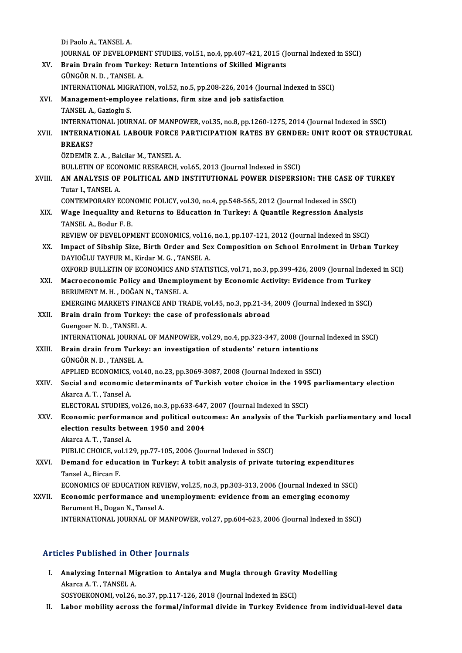Di Paolo A., TANSEL A. Di Paolo A., TANSEL A.<br>JOURNAL OF DEVELOPMENT STUDIES, vol.51, no.4, pp.407-421, 2015 (Journal Indexed in SSCI)<br>Prain Drain from Turkey: Beturn Intentione of Skilled Migrante XV. Brain Drain from Turkey: Return Intentions of Skilled Migrants<br>GÜNGÖR N.D., TANSEL A. **JOURNAL OF DEVELOPME<br>Brain Drain from Turke<br>GÜNGÖR N. D., TANSEL A.<br>INTERNATIONAL MICRATI** Brain Drain from Turkey: Return Intentions of Skilled Migrants<br>GÜNGÖR N. D. , TANSEL A.<br>INTERNATIONAL MIGRATION, vol.52, no.5, pp.208-226, 2014 (Journal Indexed in SSCI)<br>Management empleyee relations, firm sige and job sat XVI. Management-employee relations, firm size and job satisfaction<br>TANSEL A., Gazioglu S. INTERNATIONAL MIGF<br>Management-employ<br>TANSEL A., Gazioglu S.<br>INTERNATIONAL JOUR Management-employee relations, firm size and job satisfaction<br>TANSEL A., Gazioglu S.<br>INTERNATIONAL JOACUIR FORCE RARTICIPATION RATES BY CENDER, UNIT ROOT OR STRUC XVII. INTERNATIONAL LABOUR FORCE PARTICIPATION RATES BY GENDER: UNIT ROOT OR STRUCTURAL<br>RREAKS? INTERNAT<br>I<mark>NTERNA'</mark><br>BREAKS?<br>ÖZDEMİR ÖZDEMİR Z.A., Balcilar M., TANSEL A. BULLETIN OF ECONOMIC RESEARCH, vol.65, 2013 (Journal Indexed in SSCI) XVIII. AN ANALYSIS OF POLITICAL AND INSTITUTIONAL POWER DISPERSION: THE CASE OF TURKEY Tutar I.,TANSELA. AN ANALYSIS OF POLITICAL AND INSTITUTIONAL POWER DISPERSION: THE CASE O<br>Tutar I., TANSEL A.<br>CONTEMPORARY ECONOMIC POLICY, vol.30, no.4, pp.548-565, 2012 (Journal Indexed in SSCI)<br>Wage Incauglity and Betuung to Education in Tutar I., TANSEL A.<br>CONTEMPORARY ECONOMIC POLICY, vol.30, no.4, pp.548-565, 2012 (Journal Indexed in SSCI)<br>XIX. Wage Inequality and Returns to Education in Turkey: A Quantile Regression Analysis<br>TANSEL A. Bodur E. P. CONTEMPORARY ECON<br>Wage Inequality and<br>TANSEL A., Bodur F. B.<br>BEVIEW OF DEVELOPA Wage Inequality and Returns to Education in Turkey: A Quantile Regression Analysis<br>TANSEL A., Bodur F. B.<br>REVIEW OF DEVELOPMENT ECONOMICS, vol.16, no.1, pp.107-121, 2012 (Journal Indexed in SSCI)<br>Impact of Sibobin Sine, Bi TANSEL A., Bodur F. B.<br>REVIEW OF DEVELOPMENT ECONOMICS, vol.16, no.1, pp.107-121, 2012 (Journal Indexed in SSCI)<br>XX. Impact of Sibship Size, Birth Order and Sex Composition on School Enrolment in Urban Turkey<br>DAVIOČI U TAV REVIEW OF DEVELOPMENT ECONOMICS, vol.16<br>Impact of Sibship Size, Birth Order and Se.<br>DAYIOĞLU TAYFUR M., Kirdar M. G. , TANSEL A.<br>OYEOPD PULLETIN OF ECONOMICS AND STATIS Impact of Sibship Size, Birth Order and Sex Composition on School Enrolment in Urban Turkey<br>DAYIOĞLU TAYFUR M., Kirdar M. G. , TANSEL A.<br>OXFORD BULLETIN OF ECONOMICS AND STATISTICS, vol.71, no.3, pp.399-426, 2009 (Journal DAYIOĞLU TAYFUR M., Kirdar M. G. , TANSEL A.<br>OXFORD BULLETIN OF ECONOMICS AND STATISTICS, vol.71, no.3, pp.399-426, 2009 (Journal Indexed in SCI)<br>XXI. Macroeconomic Policy and Unemployment by Economic Activity: Evidence fr BERUMENT M.H., DOĞAN N., TANSEL A. Macroeconomic Policy and Unemployment by Economic Activity: Evidence from Turkey<br>BERUMENT M. H. , DOĞAN N., TANSEL A.<br>EMERGING MARKETS FINANCE AND TRADE, vol.45, no.3, pp.21-34, 2009 (Journal Indexed in SSCI)<br>Prain drain f XXII. Brain drain from Turkey: the case of professionals abroad Guengoer N.D., TANSEL A. EMERGING MARKETS FINA<br>Brain drain from Turkey<br>Guengoer N. D. , TANSEL A.<br>INTERNATIONAL JOURNAL Brain drain from Turkey: the case of professionals abroad<br>Guengoer N. D. , TANSEL A.<br>INTERNATIONAL JOURNAL OF MANPOWER, vol.29, no.4, pp.323-347, 2008 (Journal Indexed in SSCI)<br>Prain drain from Turkew an investigation of s XXIII. Brain drain from Turkey: an investigation of students' return intentions<br>GÜNGÖR N. D., TANSEL A. INTERNATIONAL JOURNAI<br>Brain drain from Turke<br>GÜNGÖR N. D. , TANSEL A.<br>APPLIED ECONOMICS .vol. Brain drain from Turkey: an investigation of students' return intentions<br>GÜNGÖR N. D. , TANSEL A.<br>APPLIED ECONOMICS, vol.40, no.23, pp.3069-3087, 2008 (Journal Indexed in SSCI)<br>Secial and asonomia determinants of Turkish y GÜNGÖR N. D. , TANSEL A.<br>APPLIED ECONOMICS, vol.40, no.23, pp.3069-3087, 2008 (Journal Indexed in SSCI)<br>XXIV. Social and economic determinants of Turkish voter choice in the 1995 parliamentary election APPLIED ECONOMICS,<br>Social and economic<br>Akarca A. T., Tansel A.<br>ELECTORAL STUDIES Social and economic determinants of Turkish voter choice in the 1995<br>Akarca A. T. , Tansel A.<br>ELECTORAL STUDIES, vol.26, no.3, pp.633-647, 2007 (Journal Indexed in SSCI)<br>Economic performance and political outcomes: An anal Akarca A. T. , Tansel A.<br>ELECTORAL STUDIES, vol.26, no.3, pp.633-647, 2007 (Journal Indexed in SSCI)<br>XXV. Economic performance and political outcomes: An analysis of the Turkish parliamentary and local ELECTORAL STUDIES, vol.26, no.3, pp.633-647, 2007 (Journal Indexed in SSCI)<br>Economic performance and political outcomes: An analysis of the Tur<br>election results between 1950 and 2004<br>Akarca A. T. . Tansel A. election results between 1950 and 2004 PUBLIC CHOICE, vol.129, pp.77-105, 2006 (Journal Indexed in SSCI) Akarca A. T. , Tansel A.<br>PUBLIC CHOICE, vol.129, pp.77-105, 2006 (Journal Indexed in SSCI)<br>XXVI. Demand for education in Turkey: A tobit analysis of private tutoring expenditures<br>Tancel A. Bircan E PUBLIC CHOICE, vo<br>Demand for educ<br>Tansel A., Bircan F.<br>ECONOMICS OF ED. Demand for education in Turkey: A tobit analysis of private tutoring expenditures<br>Tansel A., Bircan F.<br>ECONOMICS OF EDUCATION REVIEW, vol.25, no.3, pp.303-313, 2006 (Journal Indexed in SSCI)<br>Feonomic performance and unempl Tansel A., Bircan F.<br>ECONOMICS OF EDUCATION REVIEW, vol.25, no.3, pp.303-313, 2006 (Journal Indexed in SSC<br>XXVII. Economic performance and unemployment: evidence from an emerging economy<br>Perument H. Degan N. Tancel A. ECONOMICS OF EDUCATION REV<br>Economic performance and u<br>Berument H., Dogan N., Tansel A.<br>INTERNATIONAL JOURNAL OF M Berument H., Dogan N., Tansel A.<br>INTERNATIONAL JOURNAL OF MANPOWER, vol.27, pp.604-623, 2006 (Journal Indexed in SSCI)

### Articles Published in Other Journals

- rticles Published in Other Journals<br>I. Analyzing Internal Migration to Antalya and Mugla through Gravity Modelling<br>Aliance A.T. TANSEL A Akarca A. T., TANSEL A.<br>Analyzing Internal Mi<br>Akarca A. T., TANSEL A. Analyzing Internal Migration to Antalya and Mugla through Gravity<br>Akarca A. T. , TANSEL A.<br>SOSYOEKONOMI, vol.26, no.37, pp.117-126, 2018 (Journal Indexed in ESCI)<br>Labar mability agnose the formal (informal divide in Turkey Akarca A. T. , TANSEL A.<br>SOSYOEKONOMI, vol.26, no.37, pp.117-126, 2018 (Journal Indexed in ESCI)<br>II. Labor mobility across the formal/informal divide in Turkey Evidence from individual-level data
-